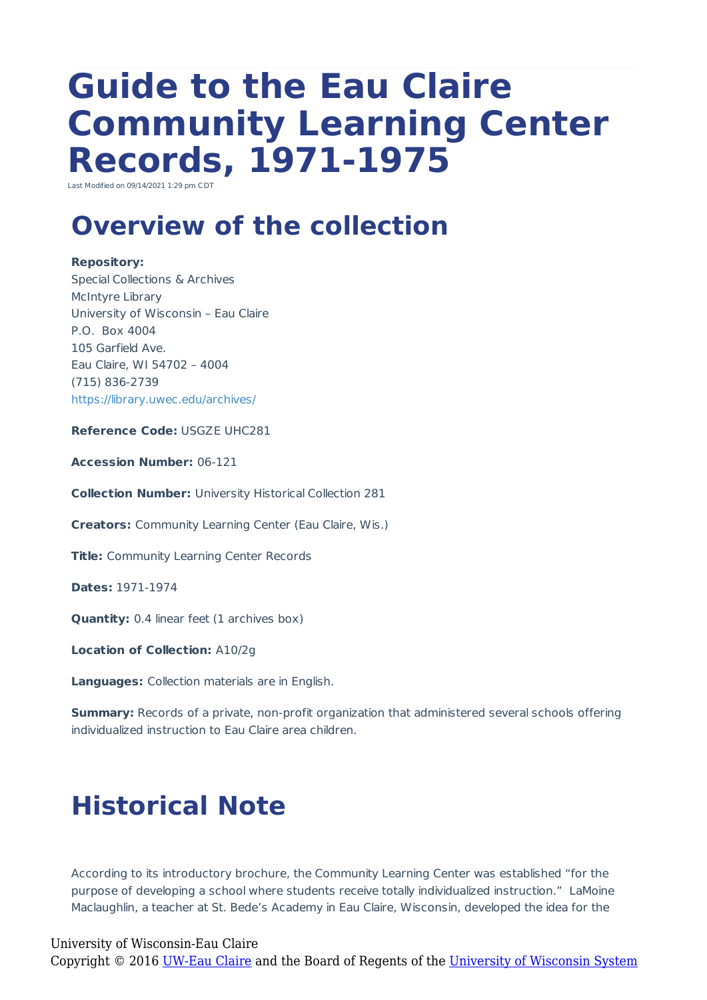# **Guide to the Eau Claire Community Learning Center Records, 1971-1975**

Last Modified on 09/14/2021 1:29 pm CDT

# **Overview of the collection**

#### **Repository:**

Special Collections & Archives McIntyre Library University of Wisconsin – Eau Claire P.O. Box 4004 105 Garfield Ave. Eau Claire, WI 54702 – 4004 (715) 836-2739 https://library.uwec.edu/archives/

**Reference Code:** USGZE UHC281

**Accession Number:** 06-121

**Collection Number:** University Historical Collection 281

**Creators:** Community Learning Center (Eau Claire, Wis.)

**Title:** Community Learning Center Records

**Dates:** 1971-1974

**Quantity:** 0.4 linear feet (1 archives box)

**Location of Collection:** A10/2g

**Languages:** Collection materials are in English.

**Summary:** Records of a private, non-profit organization that administered several schools offering individualized instruction to Eau Claire area children.

# **Historical Note**

According to its introductory brochure, the Community Learning Center was established "for the purpose of developing a school where students receive totally individualized instruction." LaMoine Maclaughlin, a teacher at St. Bede's Academy in Eau Claire, Wisconsin, developed the idea for the

### University of Wisconsin-Eau Claire

Copyright © 2016 [UW-Eau Claire](http://www.uwec.edu) and the Board of Regents of the [University of Wisconsin System](http://www.uwsa.edu/)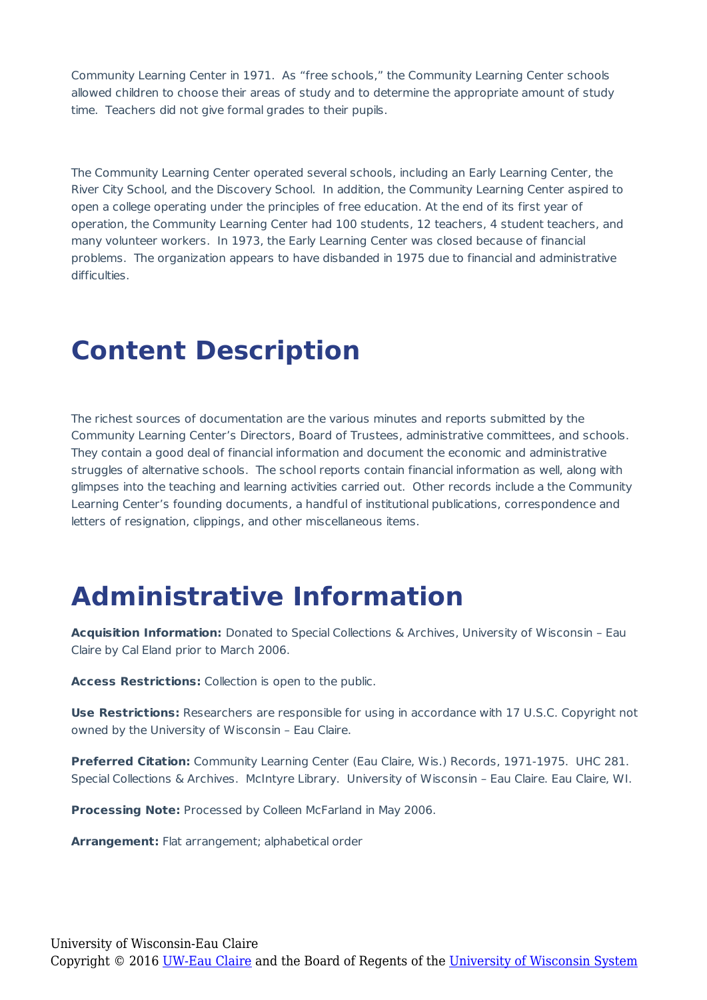Community Learning Center in 1971. As "free schools," the Community Learning Center schools allowed children to choose their areas of study and to determine the appropriate amount of study time. Teachers did not give formal grades to their pupils.

The Community Learning Center operated several schools, including an Early Learning Center, the River City School, and the Discovery School. In addition, the Community Learning Center aspired to open a college operating under the principles of free education. At the end of its first year of operation, the Community Learning Center had 100 students, 12 teachers, 4 student teachers, and many volunteer workers. In 1973, the Early Learning Center was closed because of financial problems. The organization appears to have disbanded in 1975 due to financial and administrative difficulties.

### **Content Description**

The richest sources of documentation are the various minutes and reports submitted by the Community Learning Center's Directors, Board of Trustees, administrative committees, and schools. They contain a good deal of financial information and document the economic and administrative struggles of alternative schools. The school reports contain financial information as well, along with glimpses into the teaching and learning activities carried out. Other records include a the Community Learning Center's founding documents, a handful of institutional publications, correspondence and letters of resignation, clippings, and other miscellaneous items.

### **Administrative Information**

**Acquisition Information:** Donated to Special Collections & Archives, University of Wisconsin – Eau Claire by Cal Eland prior to March 2006.

**Access Restrictions:** Collection is open to the public.

**Use Restrictions:** Researchers are responsible for using in accordance with 17 U.S.C. Copyright not owned by the University of Wisconsin – Eau Claire.

**Preferred Citation:** Community Learning Center (Eau Claire, Wis.) Records, 1971-1975. UHC 281. Special Collections & Archives. McIntyre Library. University of Wisconsin – Eau Claire. Eau Claire, WI.

**Processing Note:** Processed by Colleen McFarland in May 2006.

**Arrangement:** Flat arrangement: alphabetical order